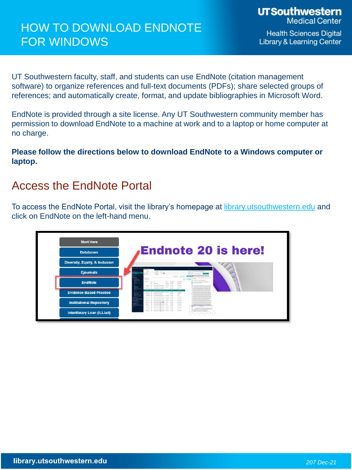# HOW TO DOWNLOAD ENDNOTE FOR WINDOWS

**Health Sciences Digital Library & Learning Center** 

UT Southwestern faculty, staff, and students can use EndNote (citation management software) to organize references and full-text documents (PDFs); share selected groups of references; and automatically create, format, and update bibliographies in Microsoft Word.

EndNote is provided through a site license. Any UT Southwestern community member has permission to download EndNote to a machine at work and to a laptop or home computer at no charge.

**Please follow the directions below to download EndNote to a Windows computer or laptop.**

## Access the EndNote Portal

To access the EndNote Portal, visit the library's homepage at [library.utsouthwestern.edu](https://library.utsouthwestern.edu/main/portals/jpull2.aspx?828) and click on EndNote on the left-hand menu.

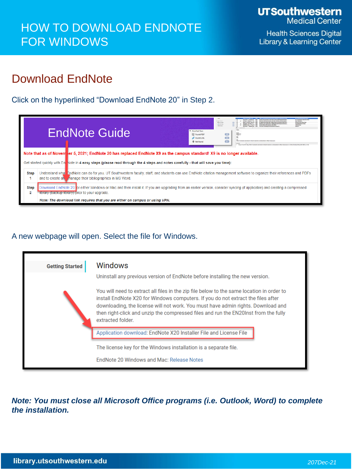**Health Sciences Digital Library & Learning Center** 

# Download EndNote

Click on the hyperlinked "Download EndNote 20" in Step 2.



## A new webpage will open. Select the file for Windows.

| <b>Getting Started</b> | <b>Windows</b>                                                                                                                                                                                                                                                                                                                                                                                                                                                |  |  |  |  |  |
|------------------------|---------------------------------------------------------------------------------------------------------------------------------------------------------------------------------------------------------------------------------------------------------------------------------------------------------------------------------------------------------------------------------------------------------------------------------------------------------------|--|--|--|--|--|
|                        | Uninstall any previous version of EndNote before installing the new version.<br>You will need to extract all files in the zip file below to the same location in order to<br>install EndNote X20 for Windows computers. If you do not extract the files after<br>downloading, the license will not work. You must have admin rights. Download and<br>then right-click and unzip the compressed files and run the EN20Inst from the fully<br>extracted folder. |  |  |  |  |  |
|                        | Application download: EndNote X20 Installer File and License File                                                                                                                                                                                                                                                                                                                                                                                             |  |  |  |  |  |
|                        | The license key for the Windows installation is a separate file.<br>EndNote 20 Windows and Mac: Release Notes                                                                                                                                                                                                                                                                                                                                                 |  |  |  |  |  |

*Note: You must close all Microsoft Office programs (i.e. Outlook, Word) to complete the installation.*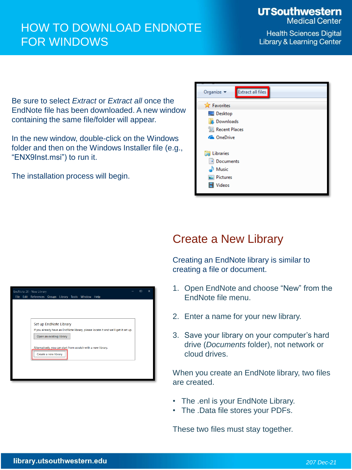# HOW TO DOWNLOAD ENDNOTE FOR WINDOWS

**UTSouthwestern Medical Center** 

**Health Sciences Digital Library & Learning Center** 

Be sure to select *Extract* or *Extract all* once the EndNote file has been downloaded. A new window containing the same file/folder will appear.

In the new window, double-click on the Windows folder and then on the Windows Installer file (e.g., "ENX9Inst.msi") to run it.

The installation process will begin.

| <b>Extract all files</b><br>Organize $\blacktriangledown$ |  |  |  |  |  |
|-----------------------------------------------------------|--|--|--|--|--|
| Favorites                                                 |  |  |  |  |  |
| Desktop                                                   |  |  |  |  |  |
| Downloads                                                 |  |  |  |  |  |
| 圖 Recent Places                                           |  |  |  |  |  |
| <b>Component Component Component Component</b>            |  |  |  |  |  |
|                                                           |  |  |  |  |  |
| Libraries                                                 |  |  |  |  |  |
| Documents                                                 |  |  |  |  |  |
| Music                                                     |  |  |  |  |  |
| Pictures                                                  |  |  |  |  |  |
| Videos                                                    |  |  |  |  |  |
|                                                           |  |  |  |  |  |

## Create a New Library

Creating an EndNote library is similar to creating a file or document.

- 1. Open EndNote and choose "New" from the EndNote file menu.
- 2. Enter a name for your new library.
- 3. Save your library on your computer's hard drive (*Documents* folder), not network or cloud drives.

When you create an EndNote library, two files are created.

- The .enl is your EndNote Library.
- The .Data file stores your PDFs.

These two files must stay together.

| Edit References Groups Library Tools Window Help<br><b>File</b>                   |  |  |  |  |  |  |
|-----------------------------------------------------------------------------------|--|--|--|--|--|--|
|                                                                                   |  |  |  |  |  |  |
|                                                                                   |  |  |  |  |  |  |
|                                                                                   |  |  |  |  |  |  |
|                                                                                   |  |  |  |  |  |  |
|                                                                                   |  |  |  |  |  |  |
| Set up EndNote Library                                                            |  |  |  |  |  |  |
| If you already have an EndNote library, please locate it and we'll get it set up. |  |  |  |  |  |  |
|                                                                                   |  |  |  |  |  |  |
| Open an existing library                                                          |  |  |  |  |  |  |
|                                                                                   |  |  |  |  |  |  |
| Alternatively, you can start from scratch with a new library.                     |  |  |  |  |  |  |
| Create a new library                                                              |  |  |  |  |  |  |
|                                                                                   |  |  |  |  |  |  |
|                                                                                   |  |  |  |  |  |  |
|                                                                                   |  |  |  |  |  |  |
|                                                                                   |  |  |  |  |  |  |
|                                                                                   |  |  |  |  |  |  |
|                                                                                   |  |  |  |  |  |  |
|                                                                                   |  |  |  |  |  |  |